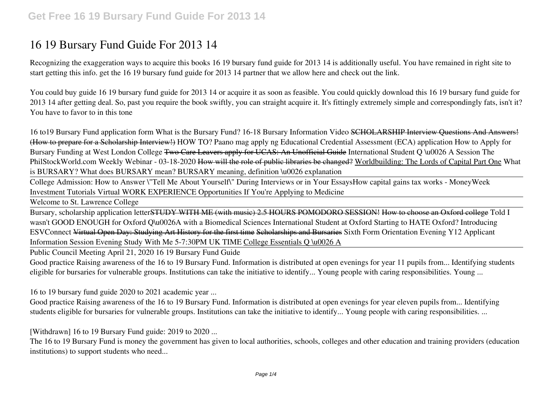# **16 19 Bursary Fund Guide For 2013 14**

Recognizing the exaggeration ways to acquire this books **16 19 bursary fund guide for 2013 14** is additionally useful. You have remained in right site to start getting this info. get the 16 19 bursary fund guide for 2013 14 partner that we allow here and check out the link.

You could buy guide 16 19 bursary fund guide for 2013 14 or acquire it as soon as feasible. You could quickly download this 16 19 bursary fund guide for 2013 14 after getting deal. So, past you require the book swiftly, you can straight acquire it. It's fittingly extremely simple and correspondingly fats, isn't it? You have to favor to in this tone

*16 to19 Bursary Fund application form What is the Bursary Fund? 16-18 Bursary Information Video* SCHOLARSHIP Interview Questions And Answers! (How to prepare for a Scholarship Interview!) HOW TO? Paano mag apply ng Educational Credential Assessment (ECA) application How to Apply for Bursary Funding at West London College Two Care Leavers apply for UCAS: An Unofficial Guide *International Student Q \u0026 A Session The PhilStockWorld.com Weekly Webinar - 03-18-2020* How will the role of public libraries be changed? Worldbuilding: The Lords of Capital Part One *What is BURSARY? What does BURSARY mean? BURSARY meaning, definition \u0026 explanation*

College Admission: How to Answer \"Tell Me About Yourself\" During Interviews or in Your Essays**How capital gains tax works - MoneyWeek Investment Tutorials Virtual WORK EXPERIENCE Opportunities If You're Applying to Medicine**

Welcome to St. Lawrence College

Bursary, scholarship application letterSTUDY WITH ME (with music) 2.5 HOURS POMODORO SESSION! How to choose an Oxford college **Told I wasn't GOOD ENOUGH for Oxford** Q\u0026A with a Biomedical Sciences International Student at Oxford *Starting to HATE Oxford? Introducing ESVConnect* Virtual Open Day: Studying Art History for the first time Scholarships and Bursaries Sixth Form Orientation Evening **Y12 Applicant Information Session Evening Study With Me 5-7:30PM UK TIME** College Essentials Q \u0026 A

Public Council Meeting April 21, 2020 16 19 Bursary Fund Guide

Good practice Raising awareness of the 16 to 19 Bursary Fund. Information is distributed at open evenings for year 11 pupils from... Identifying students eligible for bursaries for vulnerable groups. Institutions can take the initiative to identify... Young people with caring responsibilities. Young ...

16 to 19 bursary fund guide 2020 to 2021 academic year ...

Good practice Raising awareness of the 16 to 19 Bursary Fund. Information is distributed at open evenings for year eleven pupils from... Identifying students eligible for bursaries for vulnerable groups. Institutions can take the initiative to identify... Young people with caring responsibilities. ...

[Withdrawn] 16 to 19 Bursary Fund guide: 2019 to 2020 ...

The 16 to 19 Bursary Fund is money the government has given to local authorities, schools, colleges and other education and training providers (education institutions) to support students who need...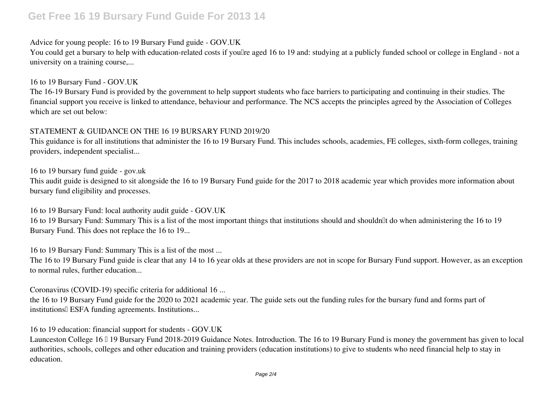# **Get Free 16 19 Bursary Fund Guide For 2013 14**

# Advice for young people: 16 to 19 Bursary Fund guide - GOV.UK

You could get a bursary to help with education-related costs if youllre aged 16 to 19 and: studying at a publicly funded school or college in England - not a university on a training course,...

## 16 to 19 Bursary Fund - GOV.UK

The 16-19 Bursary Fund is provided by the government to help support students who face barriers to participating and continuing in their studies. The financial support you receive is linked to attendance, behaviour and performance. The NCS accepts the principles agreed by the Association of Colleges which are set out below:

# STATEMENT & GUIDANCE ON THE 16 19 BURSARY FUND 2019/20

This guidance is for all institutions that administer the 16 to 19 Bursary Fund. This includes schools, academies, FE colleges, sixth-form colleges, training providers, independent specialist...

16 to 19 bursary fund guide - gov.uk

This audit guide is designed to sit alongside the 16 to 19 Bursary Fund guide for the 2017 to 2018 academic year which provides more information about bursary fund eligibility and processes.

16 to 19 Bursary Fund: local authority audit guide - GOV.UK

16 to 19 Bursary Fund: Summary This is a list of the most important things that institutions should and shouldn't do when administering the 16 to 19 Bursary Fund. This does not replace the 16 to 19...

16 to 19 Bursary Fund: Summary This is a list of the most ...

The 16 to 19 Bursary Fund guide is clear that any 14 to 16 year olds at these providers are not in scope for Bursary Fund support. However, as an exception to normal rules, further education...

Coronavirus (COVID-19) specific criteria for additional 16 ...

the 16 to 19 Bursary Fund guide for the 2020 to 2021 academic year. The guide sets out the funding rules for the bursary fund and forms part of institutions ESFA funding agreements. Institutions...

16 to 19 education: financial support for students - GOV.UK

Launceston College 16 <sup>0</sup> 19 Bursary Fund 2018-2019 Guidance Notes. Introduction. The 16 to 19 Bursary Fund is money the government has given to local authorities, schools, colleges and other education and training providers (education institutions) to give to students who need financial help to stay in education.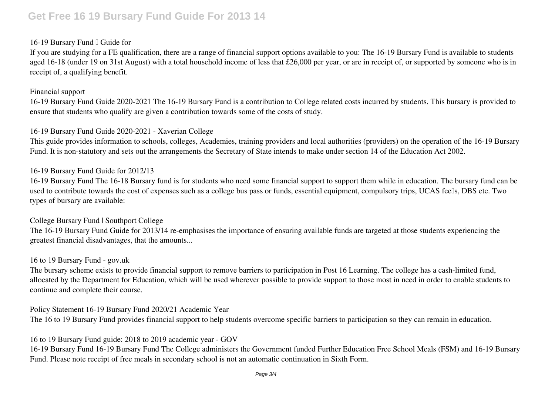# **Get Free 16 19 Bursary Fund Guide For 2013 14**

# 16-19 Bursary Fund  $\Box$  Guide for

If you are studying for a FE qualification, there are a range of financial support options available to you: The 16-19 Bursary Fund is available to students aged 16-18 (under 19 on 31st August) with a total household income of less that £26,000 per year, or are in receipt of, or supported by someone who is in receipt of, a qualifying benefit.

### Financial support

16-19 Bursary Fund Guide 2020-2021 The 16-19 Bursary Fund is a contribution to College related costs incurred by students. This bursary is provided to ensure that students who qualify are given a contribution towards some of the costs of study.

# 16-19 Bursary Fund Guide 2020-2021 - Xaverian College

This guide provides information to schools, colleges, Academies, training providers and local authorities (providers) on the operation of the 16-19 Bursary Fund. It is non-statutory and sets out the arrangements the Secretary of State intends to make under section 14 of the Education Act 2002.

# 16-19 Bursary Fund Guide for 2012/13

16-19 Bursary Fund The 16-18 Bursary fund is for students who need some financial support to support them while in education. The bursary fund can be used to contribute towards the cost of expenses such as a college bus pass or funds, essential equipment, compulsory trips, UCAS feells, DBS etc. Two types of bursary are available:

# College Bursary Fund | Southport College

The 16-19 Bursary Fund Guide for 2013/14 re-emphasises the importance of ensuring available funds are targeted at those students experiencing the greatest financial disadvantages, that the amounts...

## 16 to 19 Bursary Fund - gov.uk

The bursary scheme exists to provide financial support to remove barriers to participation in Post 16 Learning. The college has a cash-limited fund, allocated by the Department for Education, which will be used wherever possible to provide support to those most in need in order to enable students to continue and complete their course.

Policy Statement 16-19 Bursary Fund 2020/21 Academic Year The 16 to 19 Bursary Fund provides financial support to help students overcome specific barriers to participation so they can remain in education.

16 to 19 Bursary Fund guide: 2018 to 2019 academic year - GOV

16-19 Bursary Fund 16-19 Bursary Fund The College administers the Government funded Further Education Free School Meals (FSM) and 16-19 Bursary Fund. Please note receipt of free meals in secondary school is not an automatic continuation in Sixth Form.